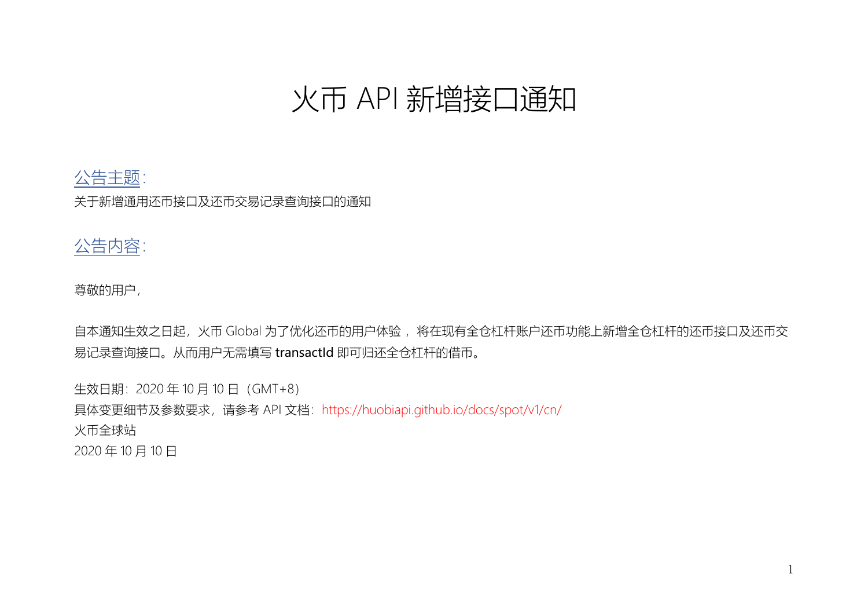# 火币 API 新增接口通知

# 公告主题:

关于新增通用还币接口及还币交易记录查询接口的通知

## 公告内容:

尊敬的用户,

自本通知生效之日起,火币 Global 为了优化还币的用户体验, 将在现有全仓杠杆账户还币功能上新增全仓杠杆的还币接口及还币交 易记录查询接口。从而用户无需填写 transactId 即可归还全仓杠杆的借币。

生效日期: 2020年10月10日 (GMT+8) 具体变更细节及参数要求,请参考 API 文档: https://huobiapi.github.io/docs/spot/v1/cn/ 火币全球站 2020 年 10 月 10 日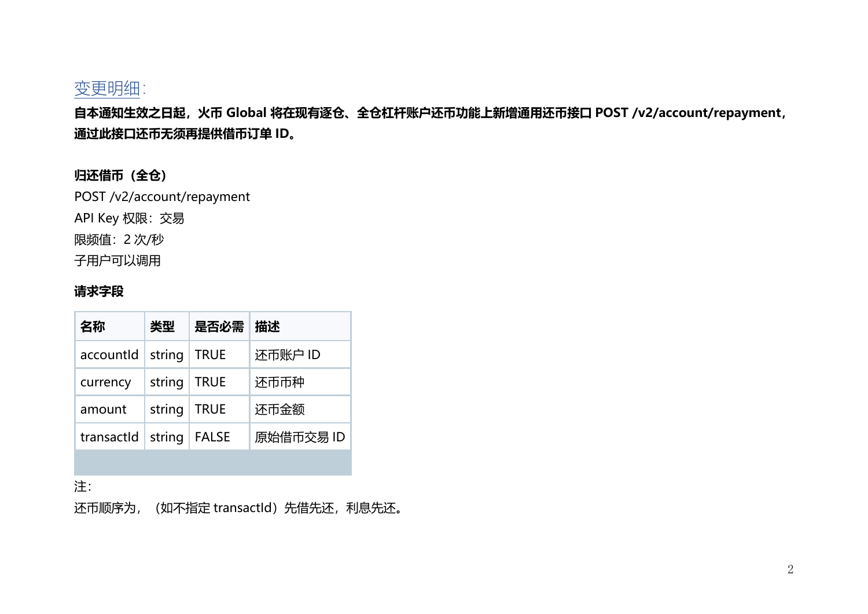

**自本通知生效之日起,火币 Global 将在现有逐仓、全仓杠杆账户还币功能上新增通用还币接口 POST /v2/account/repayment, 通过此接口还币无须再提供借币订单 ID。**

#### **归还借币(全仓)**

POST /v2/account/repayment

API Key 权限:交易

限频值:2 次/秒

子用户可以调用

#### **请求字段**

| 名称         | 类型     | 是否必需         | 描述        |
|------------|--------|--------------|-----------|
| accountid  | string | <b>TRUE</b>  | 还币账户 ID   |
| currency   | string | <b>TRUE</b>  | 还币币种      |
| amount     | string | <b>TRUE</b>  | 还币金额      |
| transactId | string | <b>FALSE</b> | 原始借币交易 ID |
|            |        |              |           |

注:

还币顺序为, (如不指定 transactId) 先借先还, 利息先还。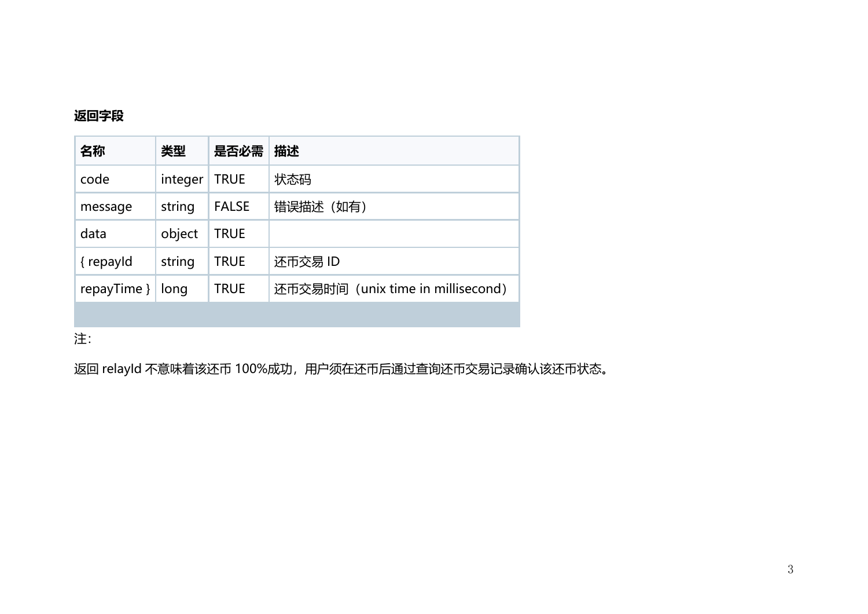#### **返回字段**

| 名称          | 类型      | 是否必需         | 描述                                |
|-------------|---------|--------------|-----------------------------------|
| code        | integer | <b>TRUE</b>  | 状态码                               |
| message     | string  | <b>FALSE</b> | 错误描述 (如有)                         |
| data        | object  | <b>TRUE</b>  |                                   |
| { repayld   | string  | TRUE         | 还币交易 ID                           |
| repayTime } | long    | <b>TRUE</b>  | 还币交易时间 (unix time in millisecond) |
|             |         |              |                                   |

注:

返回 relayId 不意味着该还币 100%成功, 用户须在还币后通过查询还币交易记录确认该还币状态。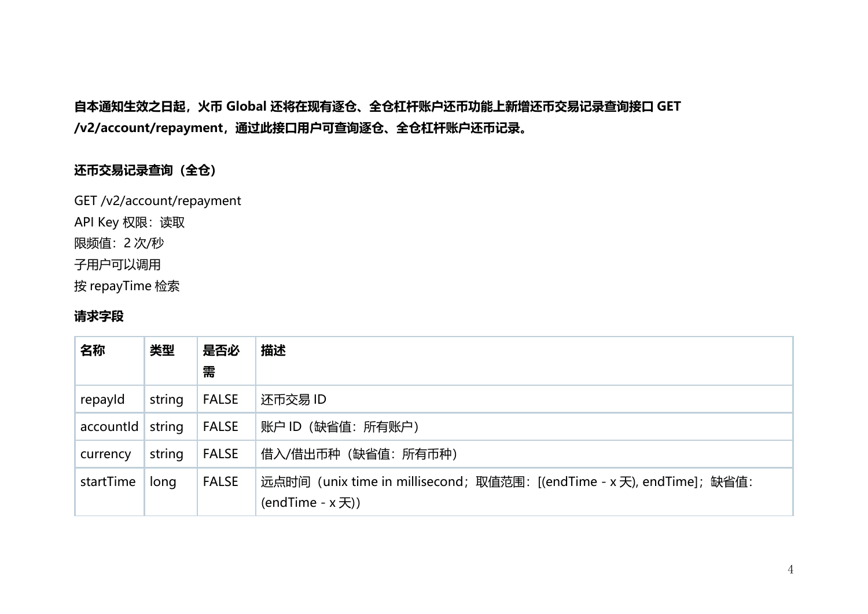## **自本通知生效之日起,火币 Global 还将在现有逐仓、全仓杠杆账户还币功能上新增还币交易记录查询接口 GET /v2/account/repayment,通过此接口用户可查询逐仓、全仓杠杆账户还币记录。**

#### **还币交易记录查询(全仓)**

GET /v2/account/repayment API Key 权限:读取 限频值:2 次/秒 子用户可以调用 按 repayTime 检索

#### **请求字段**

| 名称        | 类型     | 是否必<br>需     | 描述                                                                                             |
|-----------|--------|--------------|------------------------------------------------------------------------------------------------|
| repayId   | string | <b>FALSE</b> | 还币交易 ID                                                                                        |
| accountld | string | <b>FALSE</b> | 账户 ID (缺省值: 所有账户)                                                                              |
| currency  | string | <b>FALSE</b> | 借入/借出币种(缺省值: 所有币种)                                                                             |
| startTime | long   | <b>FALSE</b> | 远点时间 (unix time in millisecond; 取值范围: [(endTime - x 天), endTime]; 缺省值:<br>(endTime $- x  7)$ ) |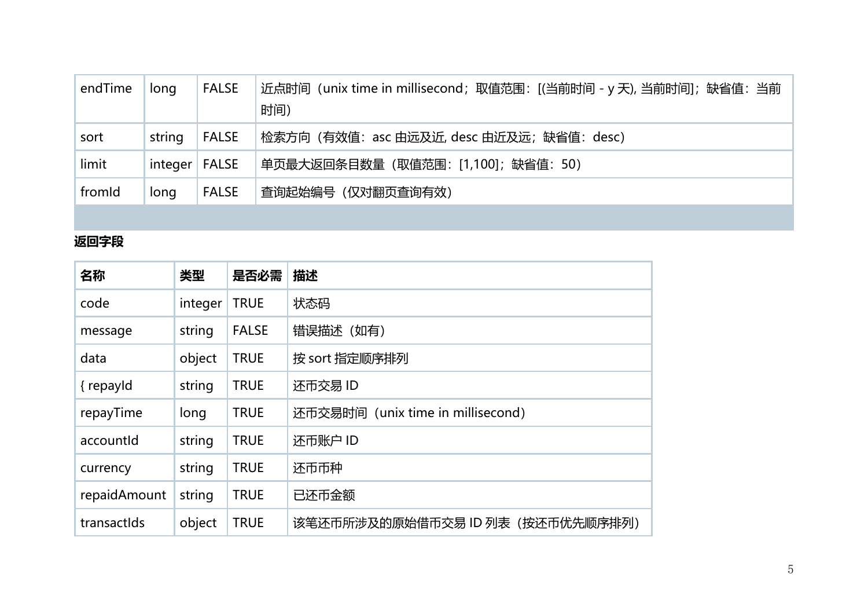| endTime | long    | <b>FALSE</b> | 近点时间 (unix time in millisecond; 取值范围: [(当前时间 - y 天), 当前时间]; 缺省值: 当前<br>时间) |
|---------|---------|--------------|----------------------------------------------------------------------------|
| sort    | string  | <b>FALSE</b> | 检索方向 (有效值: asc 由远及近, desc 由近及远; 缺省值: desc)                                 |
| limit   | integer | <b>FALSE</b> | 单页最大返回条目数量(取值范围:[1,100];缺省值:50)                                            |
| fromId  | long    | <b>FALSE</b> | 查询起始编号 (仅对翻页查询有效)                                                          |
|         |         |              |                                                                            |

## **返回字段**

| 名称           | 类型      | 是否必需         | 描述                                |
|--------------|---------|--------------|-----------------------------------|
| code         | integer | <b>TRUE</b>  | 状态码                               |
| message      | string  | <b>FALSE</b> | 错误描述(如有)                          |
| data         | object  | <b>TRUE</b>  | 按 sort 指定顺序排列                     |
| { repayld    | string  | <b>TRUE</b>  | 还币交易 ID                           |
| repayTime    | long    | <b>TRUE</b>  | 还币交易时间 (unix time in millisecond) |
| accountld    | string  | <b>TRUE</b>  | 还币账户 ID                           |
| currency     | string  | <b>TRUE</b>  | 还币币种                              |
| repaidAmount | string  | <b>TRUE</b>  | 已还币金额                             |
| transactids  | object  | <b>TRUE</b>  | 该笔还币所涉及的原始借币交易 ID 列表(按还币优先顺序排列)   |